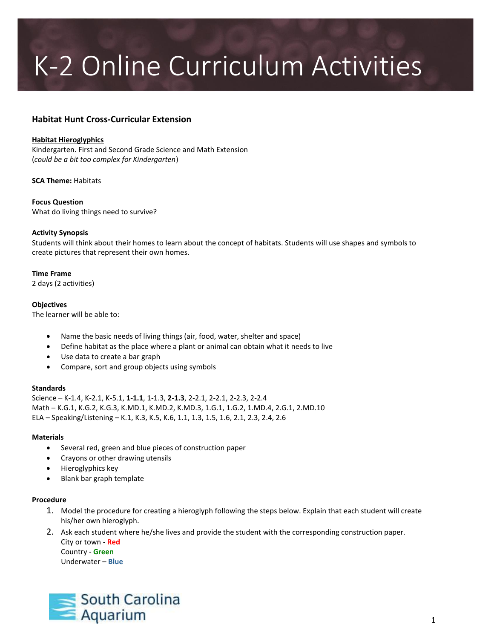# K-2 Online Curriculum Activities

### **Habitat Hunt Cross-Curricular Extension**

#### **Habitat Hieroglyphics**

Kindergarten. First and Second Grade Science and Math Extension (*could be a bit too complex for Kindergarten*)

**SCA Theme:** Habitats

**Focus Question** What do living things need to survive?

#### **Activity Synopsis**

Students will think about their homes to learn about the concept of habitats. Students will use shapes and symbols to create pictures that represent their own homes.

#### **Time Frame**

2 days (2 activities)

#### **Objectives**

The learner will be able to:

- Name the basic needs of living things (air, food, water, shelter and space)
- Define habitat as the place where a plant or animal can obtain what it needs to live
- Use data to create a bar graph
- Compare, sort and group objects using symbols

#### **Standards**

Science – K-1.4, K-2.1, K-5.1, **1-1.1**, 1-1.3, **2-1.3**, 2-2.1, 2-2.1, 2-2.3, 2-2.4 Math – K.G.1, K.G.2, K.G.3, K.MD.1, K.MD.2, K.MD.3, 1.G.1, 1.G.2, 1.MD.4, 2.G.1, 2.MD.10 ELA – Speaking/Listening – K.1, K.3, K.5, K.6, 1.1, 1.3, 1.5, 1.6, 2.1, 2.3, 2.4, 2.6

#### **Materials**

- Several red, green and blue pieces of construction paper
- Crayons or other drawing utensils
- Hieroglyphics key
- Blank bar graph template

#### **Procedure**

- 1. Model the procedure for creating a hieroglyph following the steps below. Explain that each student will create his/her own hieroglyph.
- 2. Ask each student where he/she lives and provide the student with the corresponding construction paper. City or town - **Red** Country - **Green**

Underwater – **Blue**

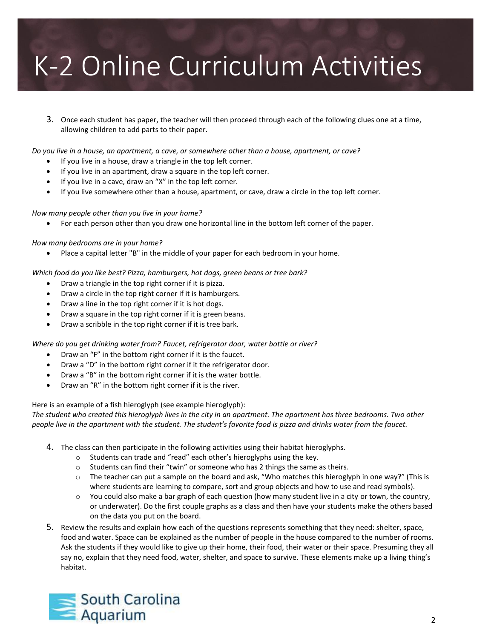### K-2 Online Curriculum Activities

3. Once each student has paper, the teacher will then proceed through each of the following clues one at a time, allowing children to add parts to their paper.

*Do you live in a house, an apartment, a cave, or somewhere other than a house, apartment, or cave?*

- If you live in a house, draw a triangle in the top left corner.
- If you live in an apartment, draw a square in the top left corner.
- If you live in a cave, draw an "X" in the top left corner.
- If you live somewhere other than a house, apartment, or cave, draw a circle in the top left corner.

*How many people other than you live in your home?* 

For each person other than you draw one horizontal line in the bottom left corner of the paper.

#### *How many bedrooms are in your home?*

Place a capital letter "B" in the middle of your paper for each bedroom in your home.

*Which food do you like best? Pizza, hamburgers, hot dogs, green beans or tree bark?*

- Draw a triangle in the top right corner if it is pizza.
- Draw a circle in the top right corner if it is hamburgers.
- Draw a line in the top right corner if it is hot dogs.
- Draw a square in the top right corner if it is green beans.
- Draw a scribble in the top right corner if it is tree bark.

#### *Where do you get drinking water from? Faucet, refrigerator door, water bottle or river?*

- Draw an "F" in the bottom right corner if it is the faucet.
- Draw a "D" in the bottom right corner if it the refrigerator door.
- Draw a "B" in the bottom right corner if it is the water bottle.
- Draw an "R" in the bottom right corner if it is the river.

Here is an example of a fish hieroglyph (see example hieroglyph):

*The student who created this hieroglyph lives in the city in an apartment. The apartment has three bedrooms. Two other people live in the apartment with the student. The student's favorite food is pizza and drinks water from the faucet.*

- 4. The class can then participate in the following activities using their habitat hieroglyphs.
	- o Students can trade and "read" each other's hieroglyphs using the key.
	- $\circ$  Students can find their "twin" or someone who has 2 things the same as theirs.
	- $\circ$  The teacher can put a sample on the board and ask, "Who matches this hieroglyph in one way?" (This is where students are learning to compare, sort and group objects and how to use and read symbols).
	- o You could also make a bar graph of each question (how many student live in a city or town, the country, or underwater). Do the first couple graphs as a class and then have your students make the others based on the data you put on the board.
- 5. Review the results and explain how each of the questions represents something that they need: shelter, space, food and water. Space can be explained as the number of people in the house compared to the number of rooms. Ask the students if they would like to give up their home, their food, their water or their space. Presuming they all say no, explain that they need food, water, shelter, and space to survive. These elements make up a living thing's habitat.